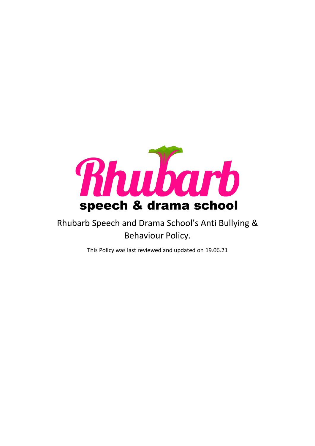

# Rhubarb Speech and Drama School's Anti Bullying & Behaviour Policy.

This Policy was last reviewed and updated on 19.06.21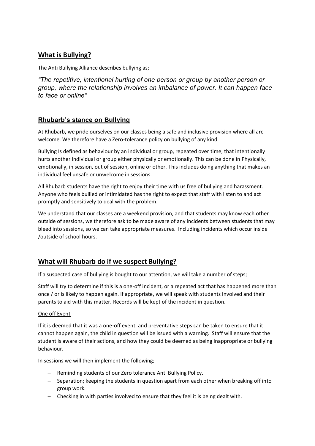# **What is Bullying?**

The Anti Bullying Alliance describes bullying as;

*"The repetitive, intentional hurting of one person or group by another person or group, where the relationship involves an imbalance of power. It can happen face to face or online"*

### **Rhubarb's stance on Bullying**

At Rhubarb**,** we pride ourselves on our classes being a safe and inclusive provision where all are welcome. We therefore have a Zero-tolerance policy on bullying of any kind.

Bullying Is defined as behaviour by an individual or group, repeated over time, that intentionally hurts another individual or group either physically or emotionally. This can be done in Physically, emotionally, in session, out of session, online or other. This includes doing anything that makes an individual feel unsafe or unwelcome in sessions.

All Rhubarb students have the right to enjoy their time with us free of bullying and harassment. Anyone who feels bullied or intimidated has the right to expect that staff with listen to and act promptly and sensitively to deal with the problem.

We understand that our classes are a weekend provision, and that students may know each other outside of sessions, we therefore ask to be made aware of any incidents between students that may bleed into sessions, so we can take appropriate measures. Including incidents which occur inside /outside of school hours.

## **What will Rhubarb do if we suspect Bullying?**

If a suspected case of bullying is bought to our attention, we will take a number of steps;

Staff will try to determine if this is a one-off incident, or a repeated act that has happened more than once / or is likely to happen again. If appropriate, we will speak with students involved and their parents to aid with this matter. Records will be kept of the incident in question.

#### One off Event

If it is deemed that it was a one-off event, and preventative steps can be taken to ensure that it cannot happen again, the child in question will be issued with a warning. Staff will ensure that the student is aware of their actions, and how they could be deemed as being inappropriate or bullying behaviour.

In sessions we will then implement the following;

- − Reminding students of our Zero tolerance Anti Bullying Policy.
- − Separation; keeping the students in question apart from each other when breaking off into group work.
- − Checking in with parties involved to ensure that they feel it is being dealt with.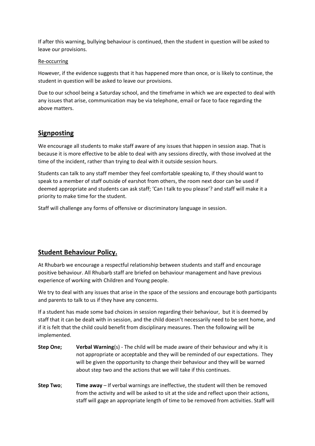If after this warning, bullying behaviour is continued, then the student in question will be asked to leave our provisions.

#### Re-occurring

However, if the evidence suggests that it has happened more than once, or is likely to continue, the student in question will be asked to leave our provisions.

Due to our school being a Saturday school, and the timeframe in which we are expected to deal with any issues that arise, communication may be via telephone, email or face to face regarding the above matters.

## **Signposting**

We encourage all students to make staff aware of any issues that happen in session asap. That is because it is more effective to be able to deal with any sessions directly, with those involved at the time of the incident, rather than trying to deal with it outside session hours.

Students can talk to any staff member they feel comfortable speaking to, if they should want to speak to a member of staff outside of earshot from others, the room next door can be used if deemed appropriate and students can ask staff; 'Can I talk to you please'? and staff will make it a priority to make time for the student.

Staff will challenge any forms of offensive or discriminatory language in session.

## **Student Behaviour Policy.**

At Rhubarb we encourage a respectful relationship between students and staff and encourage positive behaviour. All Rhubarb staff are briefed on behaviour management and have previous experience of working with Children and Young people.

We try to deal with any issues that arise in the space of the sessions and encourage both participants and parents to talk to us if they have any concerns.

If a student has made some bad choices in session regarding their behaviour, but it is deemed by staff that it can be dealt with in session, and the child doesn't necessarily need to be sent home, and if it is felt that the child could benefit from disciplinary measures. Then the following will be implemented.

- **Step One; Verbal Warning**(s) The child will be made aware of their behaviour and why it is not appropriate or acceptable and they will be reminded of our expectations. They will be given the opportunity to change their behaviour and they will be warned about step two and the actions that we will take if this continues.
- **Step Two**; **Time away** If verbal warnings are ineffective, the student will then be removed from the activity and will be asked to sit at the side and reflect upon their actions, staff will gage an appropriate length of time to be removed from activities. Staff will